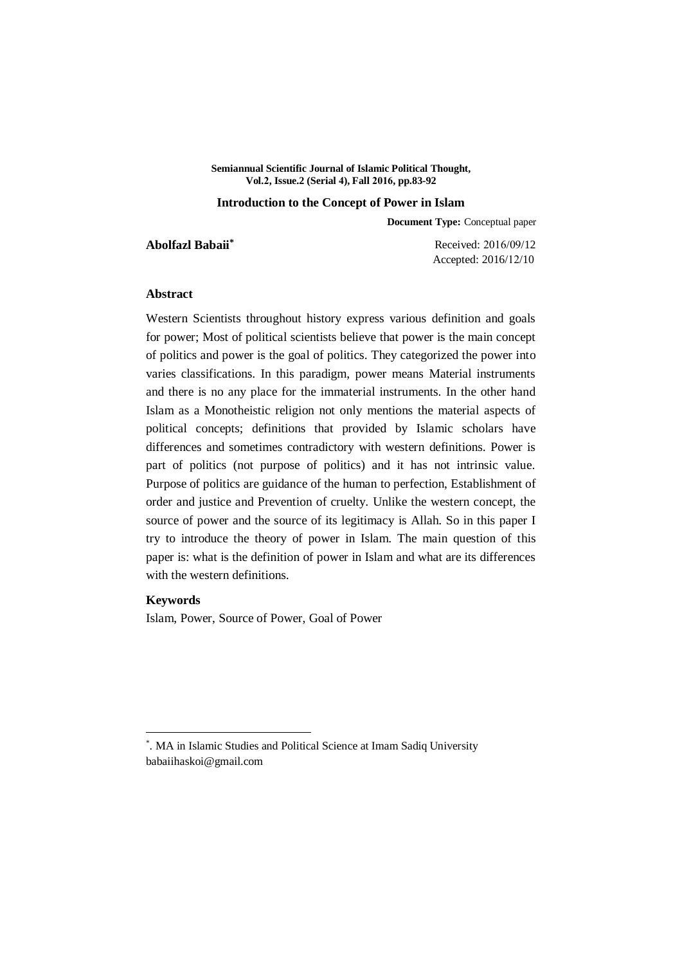**Semiannual Scientific Journal of Islamic Political Thought, Vol.2, Issue.2 (Serial 4), Fall 2016, pp.83-92**

#### **Introduction to the Concept of Power in Islam**

**Document Type:** Conceptual paper

**Abolfazl Babaii\***

Received: 2016/09/12 Accepted: 2016/12/10

## **Abstract**

Western Scientists throughout history express various definition and goals for power; Most of political scientists believe that power is the main concept of politics and power is the goal of politics. They categorized the power into varies classifications. In this paradigm, power means Material instruments and there is no any place for the immaterial instruments. In the other hand Islam as a Monotheistic religion not only mentions the material aspects of political concepts; definitions that provided by Islamic scholars have differences and sometimes contradictory with western definitions. Power is part of politics (not purpose of politics) and it has not intrinsic value. Purpose of politics are guidance of the human to perfection, Establishment of order and justice and Prevention of cruelty. Unlike the western concept, the source of power and the source of its legitimacy is Allah. So in this paper I try to introduce the theory of power in Islam. The main question of this paper is: what is the definition of power in Islam and what are its differences with the western definitions.

# **Keywords**

1

Islam, Power, Source of Power, Goal of Power

<sup>\*</sup> . MA in Islamic Studies and Political Science at Imam Sadiq University babaiihaskoi@gmail.com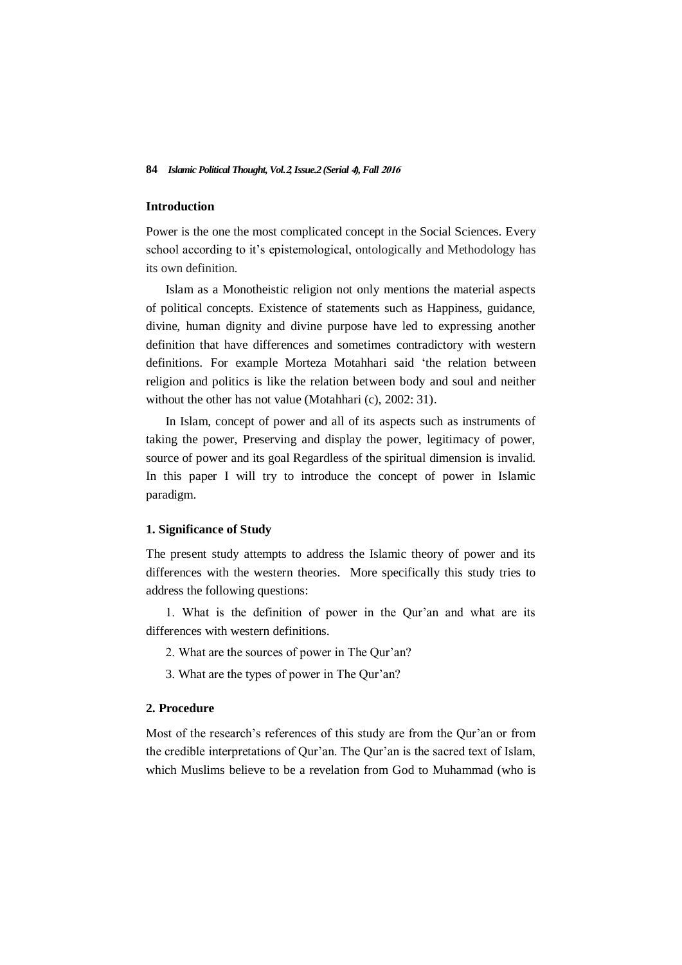## **Introduction**

Power is the one the most complicated concept in the Social Sciences. Every school according to it's epistemological, ontologically and Methodology has its own definition.

Islam as a Monotheistic religion not only mentions the material aspects of political concepts. Existence of statements such as Happiness, guidance, divine, human dignity and divine purpose have led to expressing another definition that have differences and sometimes contradictory with western definitions. For example Morteza Motahhari said 'the relation between religion and politics is like the relation between body and soul and neither without the other has not value (Motahhari (c), 2002: 31).

In Islam, concept of power and all of its aspects such as instruments of taking the power, Preserving and display the power, legitimacy of power, source of power and its goal Regardless of the spiritual dimension is invalid. In this paper I will try to introduce the concept of power in Islamic paradigm.

### **1. Significance of Study**

The present study attempts to address the Islamic theory of power and its differences with the western theories. More specifically this study tries to address the following questions:

1. What is the definition of power in the Qur'an and what are its differences with western definitions.

- 2. What are the sources of power in The Qur'an?
- 3. What are the types of power in The Qur'an?

## **2. Procedure**

Most of the research's references of this study are from the Qur'an or from the credible interpretations of Qur'an. The Qur'an is the sacred text of Islam, which Muslims believe to be a revelation from God to Muhammad (who is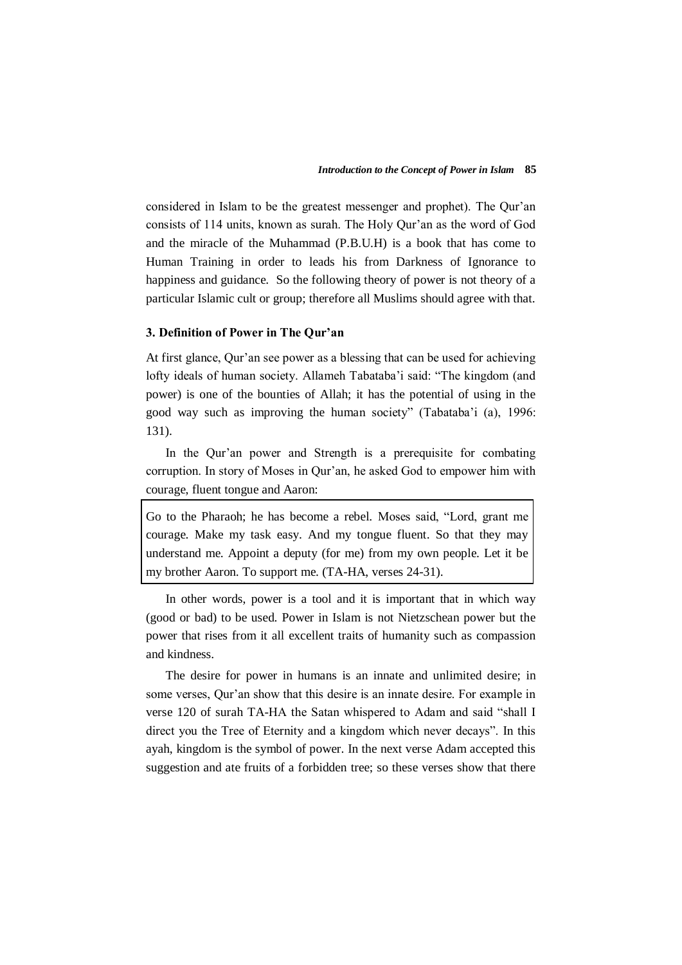considered in Islam to be the greatest messenger and prophet). The Qur'an consists of 114 units, known as surah. The Holy Qur'an as the word of God and the miracle of the Muhammad (P.B.U.H) is a book that has come to Human Training in order to leads his from Darkness of Ignorance to happiness and guidance. So the following theory of power is not theory of a particular Islamic cult or group; therefore all Muslims should agree with that.

## **3. Definition of Power in The Qur'an**

At first glance, Qur'an see power as a blessing that can be used for achieving lofty ideals of human society. Allameh Tabataba'i said: "The kingdom (and power) is one of the bounties of Allah; it has the potential of using in the good way such as improving the human society" (Tabataba'i (a), 1996: 131).

In the Qur'an power and Strength is a prerequisite for combating corruption. In story of Moses in Qur'an, he asked God to empower him with courage, fluent tongue and Aaron:

Go to the Pharaoh; he has become a rebel. Moses said, "Lord, grant me courage. Make my task easy. And my tongue fluent. So that they may understand me. Appoint a deputy (for me) from my own people. Let it be my brother Aaron. To support me. (TA-HA, verses 24-31).

In other words, power is a tool and it is important that in which way (good or bad) to be used. Power in Islam is not Nietzschean power but the power that rises from it all excellent traits of humanity such as compassion and kindness.

The desire for power in humans is an innate and unlimited desire; in some verses, Qur'an show that this desire is an innate desire. For example in verse 120 of surah TA-HA the Satan whispered to Adam and said "shall I direct you the Tree of Eternity and a kingdom which never decays". In this ayah, kingdom is the symbol of power. In the next verse Adam accepted this suggestion and ate fruits of a forbidden tree; so these verses show that there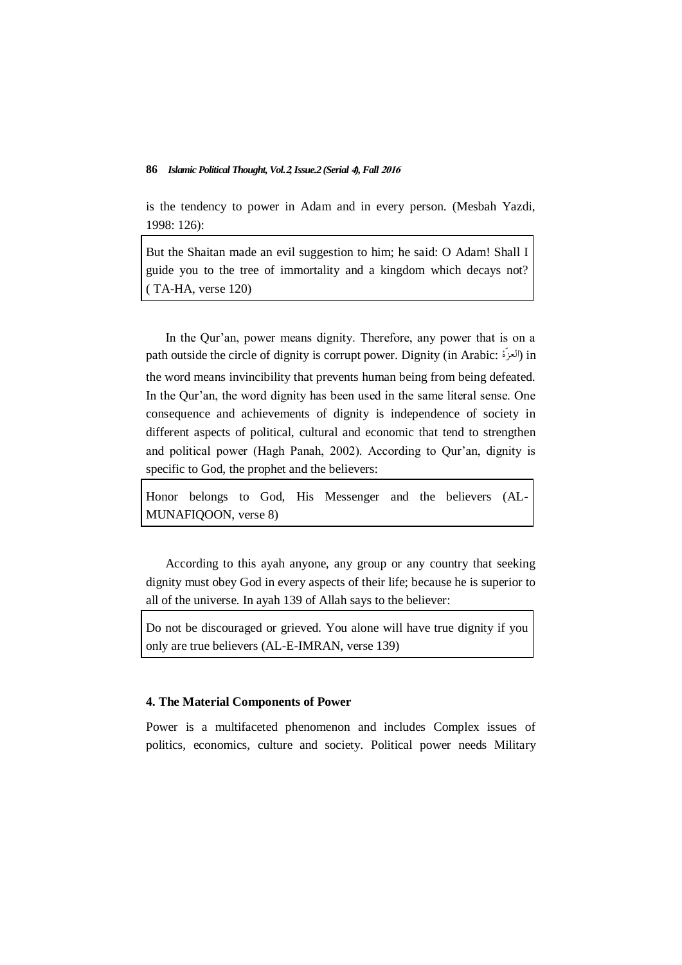is the tendency to power in Adam and in every person. (Mesbah Yazdi, 1998: 126):

But the Shaitan made an evil suggestion to him; he said: O Adam! Shall I guide you to the tree of immortality and a kingdom which decays not? ( TA-HA, verse 120)

In the Qur'an, power means dignity. Therefore, any power that is on a path outside the circle of dignity is corrupt power. Dignity (in Arabic: ألعزة) in the word means invincibility that prevents human being from being defeated. In the Our'an, the word dignity has been used in the same literal sense. One consequence and achievements of dignity is independence of society in different aspects of political, cultural and economic that tend to strengthen and political power (Hagh Panah, 2002). According to Qur'an, dignity is specific to God, the prophet and the believers:

Honor belongs to God, His Messenger and the believers (AL-MUNAFIQOON, verse 8)

According to this ayah anyone, any group or any country that seeking dignity must obey God in every aspects of their life; because he is superior to all of the universe. In ayah 139 of Allah says to the believer:

Do not be discouraged or grieved. You alone will have true dignity if you only are true believers (AL-E-IMRAN, verse 139)

# **4. The Material Components of Power**

Power is a multifaceted phenomenon and includes Complex issues of politics, economics, culture and society. Political power needs Military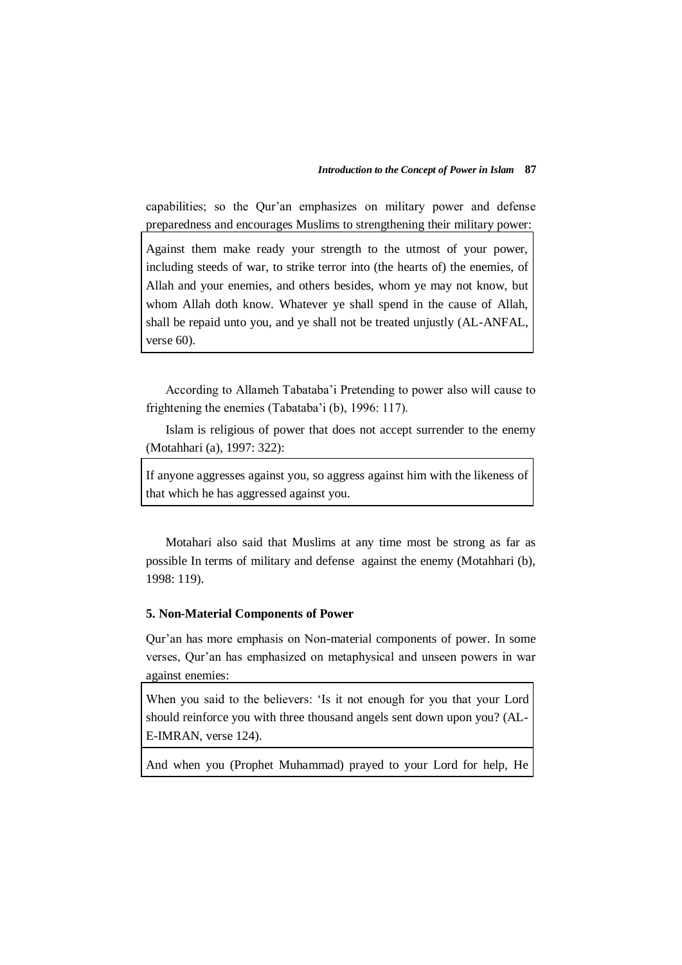capabilities; so the Qur'an emphasizes on military power and defense preparedness and encourages Muslims to strengthening their military power:

Against them make ready your strength to the utmost of your power, including steeds of war, to strike terror into (the hearts of) the enemies, of Allah and your enemies, and others besides, whom ye may not know, but whom Allah doth know. Whatever ye shall spend in the cause of Allah, shall be repaid unto you, and ye shall not be treated unjustly (AL-ANFAL, verse 60).

According to Allameh Tabataba'i Pretending to power also will cause to frightening the enemies (Tabataba'i (b), 1996: 117).

Islam is religious of power that does not accept surrender to the enemy (Motahhari (a), 1997: 322):

If anyone aggresses against you, so aggress against him with the likeness of that which he has aggressed against you.

Motahari also said that Muslims at any time most be strong as far as possible In terms of military and defense against the enemy (Motahhari (b), 1998: 119).

## **5. Non-Material Components of Power**

Qur'an has more emphasis on Non-material components of power. In some verses, Qur'an has emphasized on metaphysical and unseen powers in war against enemies:

When you said to the believers: 'Is it not enough for you that your Lord should reinforce you with three thousand angels sent down upon you? (AL-E-IMRAN, verse 124).

And when you (Prophet Muhammad) prayed to your Lord for help, He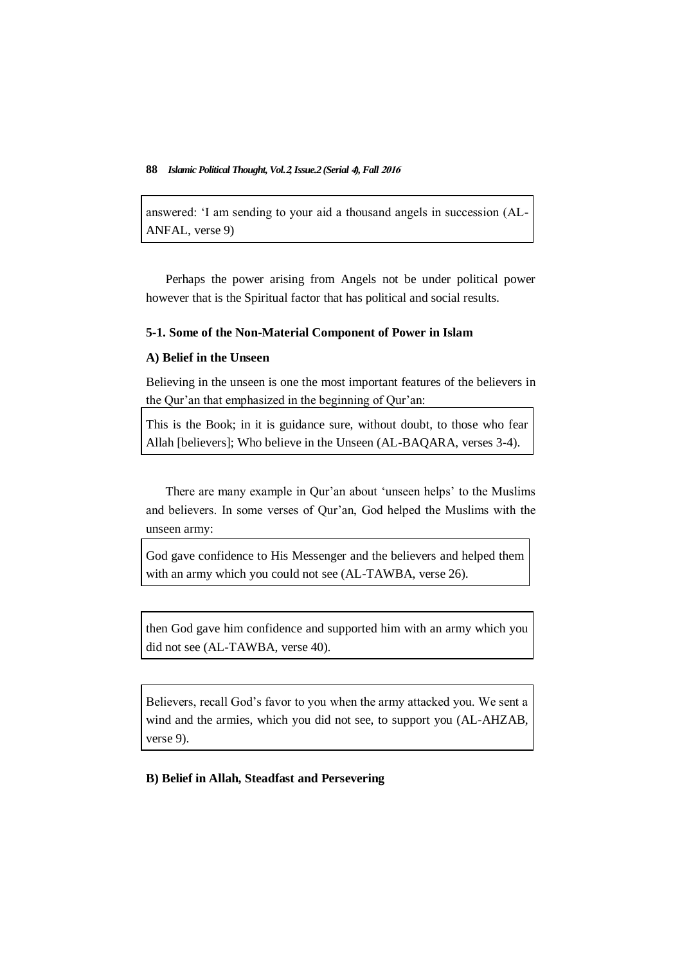answered: 'I am sending to your aid a thousand angels in succession (AL-ANFAL, verse 9)

Perhaps the power arising from Angels not be under political power however that is the Spiritual factor that has political and social results.

## **5-1. Some of the Non-Material Component of Power in Islam**

# **A) Belief in the Unseen**

Believing in the unseen is one the most important features of the believers in the Qur'an that emphasized in the beginning of Qur'an:

This is the Book; in it is guidance sure, without doubt, to those who fear Allah [believers]; Who believe in the Unseen (AL-BAQARA, verses 3-4).

There are many example in Qur'an about 'unseen helps' to the Muslims and believers. In some verses of Qur'an, God helped the Muslims with the unseen army:

God gave confidence to His Messenger and the believers and helped them with an army which you could not see (AL-TAWBA, verse 26).

then God gave him confidence and supported him with an army which you did not see (AL-TAWBA, verse 40).

Believers, recall God's favor to you when the army attacked you. We sent a wind and the armies, which you did not see, to support you (AL-AHZAB, verse 9).

**B) Belief in Allah, Steadfast and Persevering**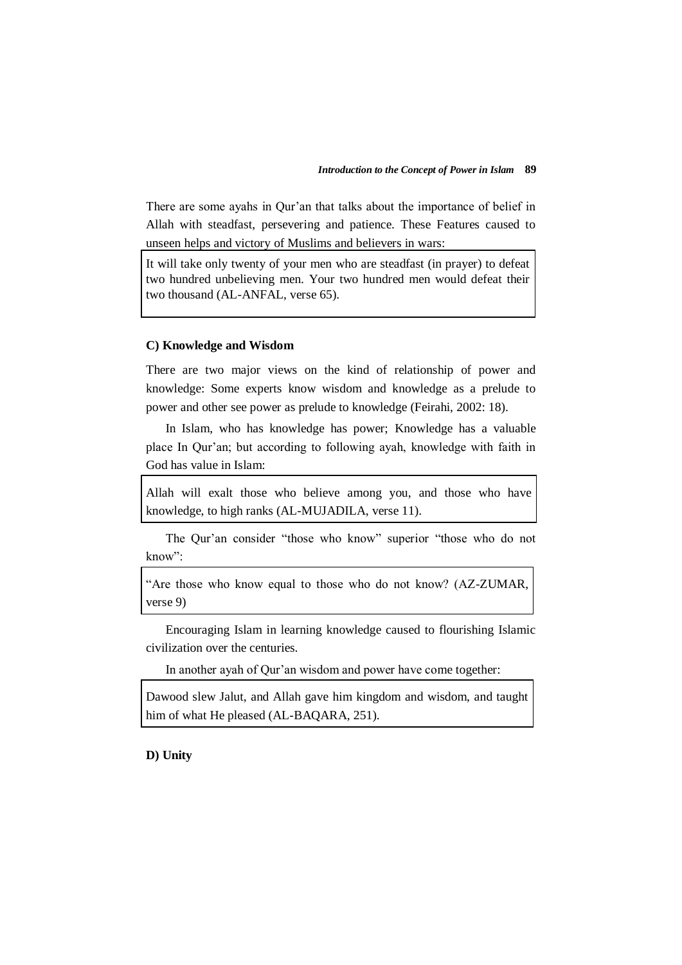There are some ayahs in Qur'an that talks about the importance of belief in Allah with steadfast, persevering and patience. These Features caused to unseen helps and victory of Muslims and believers in wars:

It will take only twenty of your men who are steadfast (in prayer) to defeat two hundred unbelieving men. Your two hundred men would defeat their two thousand (AL-ANFAL, verse 65).

# **C) Knowledge and Wisdom**

There are two major views on the kind of relationship of power and knowledge: Some experts know wisdom and knowledge as a prelude to power and other see power as prelude to knowledge (Feirahi, 2002: 18).

In Islam, who has knowledge has power; Knowledge has a valuable place In Qur'an; but according to following ayah, knowledge with faith in God has value in Islam:

Allah will exalt those who believe among you, and those who have knowledge, to high ranks (AL-MUJADILA, verse 11).

The Qur'an consider "those who know" superior "those who do not know":

"Are those who know equal to those who do not know? (AZ-ZUMAR, verse 9)

Encouraging Islam in learning knowledge caused to flourishing Islamic civilization over the centuries.

In another ayah of Qur'an wisdom and power have come together:

Dawood slew Jalut, and Allah gave him kingdom and wisdom, and taught him of what He pleased (AL-BAQARA, 251).

**D) Unity**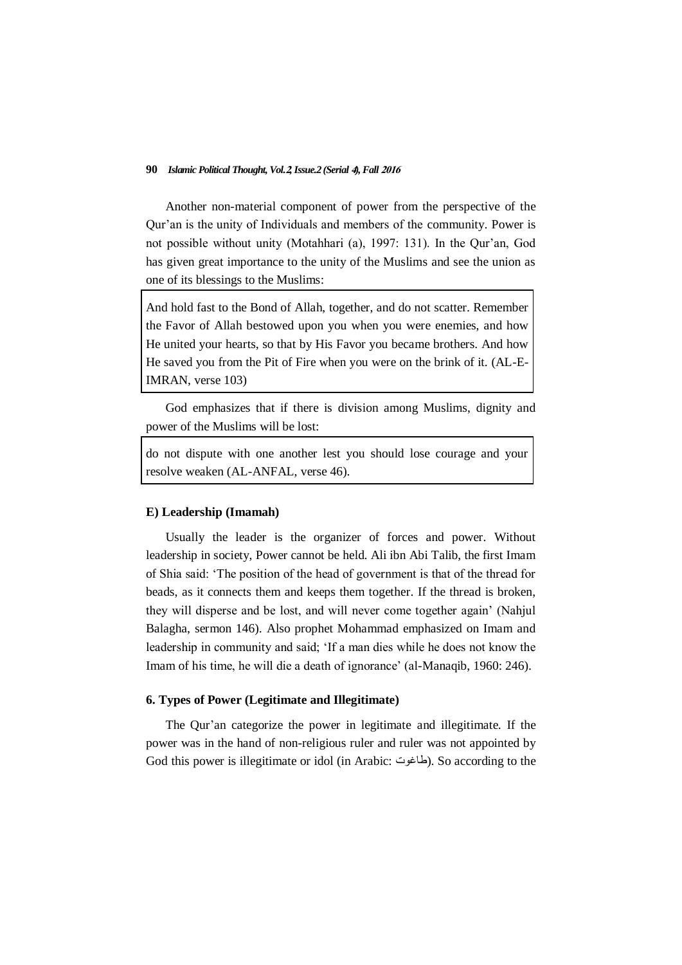Another non-material component of power from the perspective of the Qur'an is the unity of Individuals and members of the community. Power is not possible without unity (Motahhari (a), 1997: 131). In the Qur'an, God has given great importance to the unity of the Muslims and see the union as one of its blessings to the Muslims:

And hold fast to the Bond of Allah, together, and do not scatter. Remember the Favor of Allah bestowed upon you when you were enemies, and how He united your hearts, so that by His Favor you became brothers. And how He saved you from the Pit of Fire when you were on the brink of it. (AL-E-IMRAN, verse 103)

God emphasizes that if there is division among Muslims, dignity and power of the Muslims will be lost:

do not dispute with one another lest you should lose courage and your resolve weaken (AL-ANFAL, verse 46).

#### **E) Leadership (Imamah)**

Usually the leader is the organizer of forces and power. Without leadership in society, Power cannot be held. Ali ibn Abi Talib, the first Imam of Shia said: 'The position of the head of government is that of the thread for beads, as it connects them and keeps them together. If the thread is broken, they will disperse and be lost, and will never come together again' (Nahjul Balagha, sermon 146). Also prophet Mohammad emphasized on Imam and leadership in community and said; 'If a man dies while he does not know the Imam of his time, he will die a death of ignorance' (al-Manaqib, 1960: 246).

### **6. Types of Power (Legitimate and Illegitimate)**

The Qur'an categorize the power in legitimate and illegitimate. If the power was in the hand of non-religious ruler and ruler was not appointed by God this power is illegitimate or idol (in Arabic: طاغوت). So according to the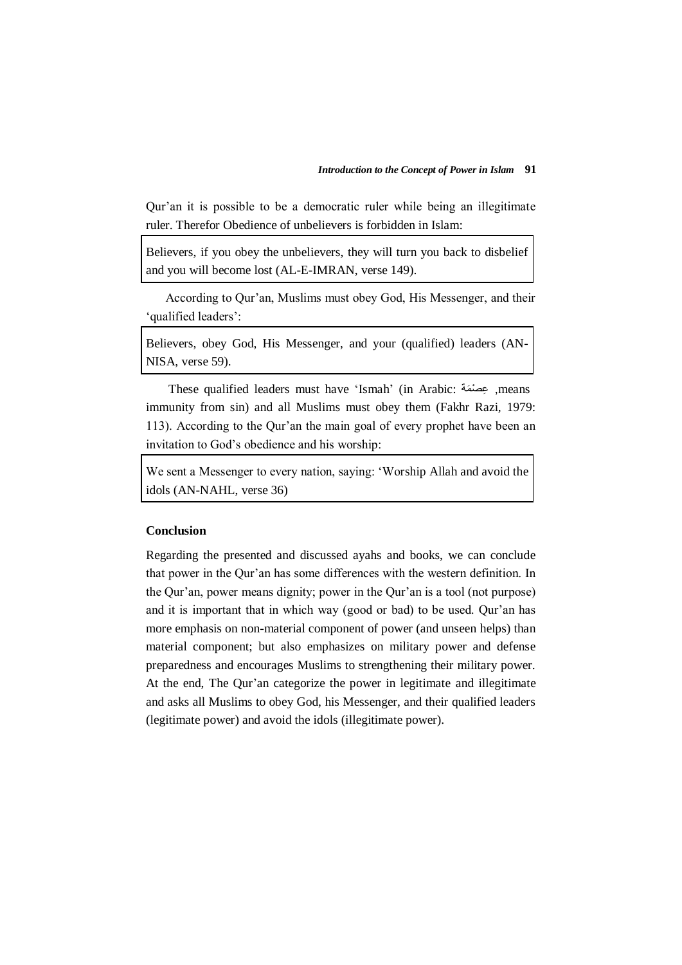Qur'an it is possible to be a democratic ruler while being an illegitimate ruler. Therefor Obedience of unbelievers is forbidden in Islam:

Believers, if you obey the unbelievers, they will turn you back to disbelief and you will become lost (AL-E-IMRAN, verse 149).

According to Qur'an, Muslims must obey God, His Messenger, and their 'qualified leaders':

Believers, obey God, His Messenger, and your (qualified) leaders (AN-NISA, verse 59).

These qualified leaders must have 'Ismah' (in Arabic: عِصْمَة, means immunity from sin) and all Muslims must obey them (Fakhr Razi, 1979: 113). According to the Qur'an the main goal of every prophet have been an invitation to God's obedience and his worship:

We sent a Messenger to every nation, saying: 'Worship Allah and avoid the idols (AN-NAHL, verse 36)

## **Conclusion**

Regarding the presented and discussed ayahs and books, we can conclude that power in the Qur'an has some differences with the western definition. In the Qur'an, power means dignity; power in the Qur'an is a tool (not purpose) and it is important that in which way (good or bad) to be used. Qur'an has more emphasis on non-material component of power (and unseen helps) than material component; but also emphasizes on military power and defense preparedness and encourages Muslims to strengthening their military power. At the end, The Qur'an categorize the power in legitimate and illegitimate and asks all Muslims to obey God, his Messenger, and their qualified leaders (legitimate power) and avoid the idols (illegitimate power).